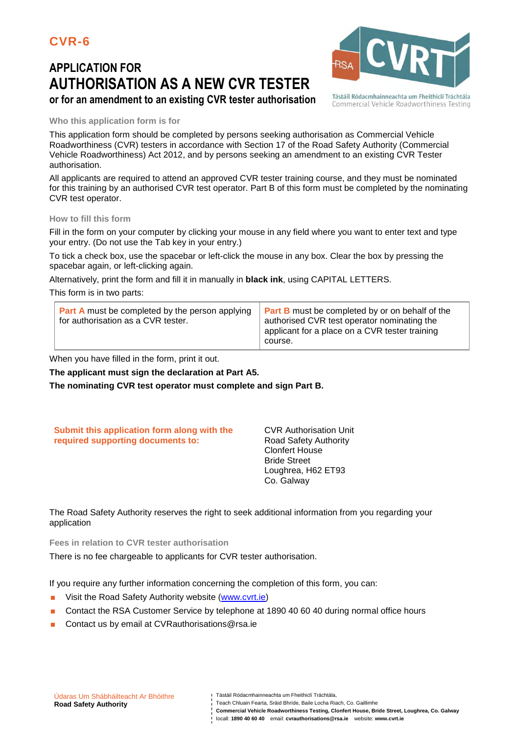# **APPLICATION FOR AUTHORISATION AS A NEW CVR TESTER or for an amendment to an existing CVR tester authorisation**



Tástáil Ródacmhainneachta um Fheithiclí Tráchtála Commercial Vehicle Roadworthiness Testing

#### **Who this application form is for**

This application form should be completed by persons seeking authorisation as Commercial Vehicle Roadworthiness (CVR) testers in accordance with Section 17 of the Road Safety Authority (Commercial Vehicle Roadworthiness) Act 2012, and by persons seeking an amendment to an existing CVR Tester authorisation.

All applicants are required to attend an approved CVR tester training course, and they must be nominated for this training by an authorised CVR test operator. Part B of this form must be completed by the nominating CVR test operator.

#### **How to fill this form**

Fill in the form on your computer by clicking your mouse in any field where you want to enter text and type your entry. (Do not use the Tab key in your entry.)

To tick a check box, use the spacebar or left-click the mouse in any box. Clear the box by pressing the spacebar again, or left-clicking again.

Alternatively, print the form and fill it in manually in **black ink**, using CAPITAL LETTERS.

This form is in two parts:

| <b>Part A</b> must be completed by the person applying<br>for authorisation as a CVR tester. | <b>Part B</b> must be completed by or on behalf of the<br>authorised CVR test operator nominating the<br>applicant for a place on a CVR tester training<br>course. |
|----------------------------------------------------------------------------------------------|--------------------------------------------------------------------------------------------------------------------------------------------------------------------|
|----------------------------------------------------------------------------------------------|--------------------------------------------------------------------------------------------------------------------------------------------------------------------|

When you have filled in the form, print it out.

**The applicant must sign the declaration at Part A5.** 

**The nominating CVR test operator must complete and sign Part B.**

| Submit this application form along with the | <b>CVR Authorisation Unit</b> |
|---------------------------------------------|-------------------------------|
| required supporting documents to:           | Road Safety Authority         |
|                                             | <b>Clonfert House</b>         |
|                                             | <b>Bride Street</b>           |
|                                             | Loughrea, H62 ET93            |
|                                             | Co. Galway                    |

The Road Safety Authority reserves the right to seek additional information from you regarding your application

**Fees in relation to CVR tester authorisation** 

There is no fee chargeable to applicants for CVR tester authorisation.

If you require any further information concerning the completion of this form, you can:

- Visit the Road Safety Authority website (www.cvrt.ie)
- **Contact the RSA Customer Service by telephone at 1890 40 60 40 during normal office hours**
- Contact us by email at CVRauthorisations@rsa.ie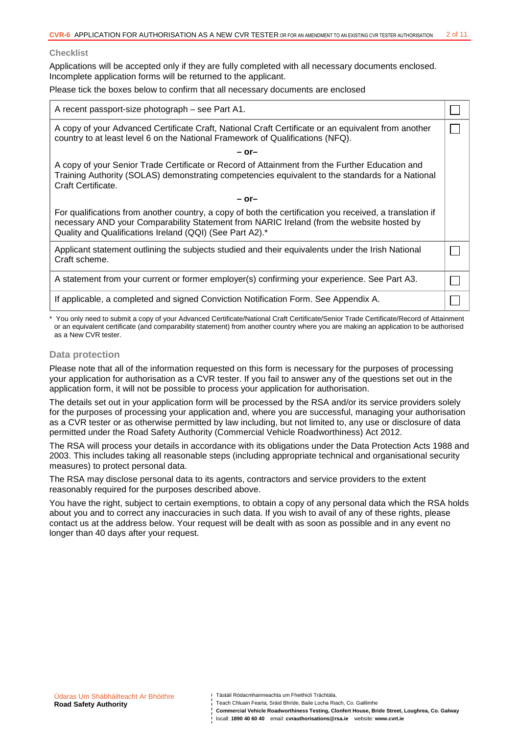#### **Checklist**

Applications will be accepted only if they are fully completed with all necessary documents enclosed. Incomplete application forms will be returned to the applicant.

Please tick the boxes below to confirm that all necessary documents are enclosed

| A recent passport-size photograph – see Part A1.                                                                                                                                                                                                                  |  |
|-------------------------------------------------------------------------------------------------------------------------------------------------------------------------------------------------------------------------------------------------------------------|--|
| A copy of your Advanced Certificate Craft, National Craft Certificate or an equivalent from another<br>country to at least level 6 on the National Framework of Qualifications (NFQ).                                                                             |  |
| – or–                                                                                                                                                                                                                                                             |  |
| A copy of your Senior Trade Certificate or Record of Attainment from the Further Education and<br>Training Authority (SOLAS) demonstrating competencies equivalent to the standards for a National<br>Craft Certificate.                                          |  |
| $-$ or-                                                                                                                                                                                                                                                           |  |
| For qualifications from another country, a copy of both the certification you received, a translation if<br>necessary AND your Comparability Statement from NARIC Ireland (from the website hosted by<br>Quality and Qualifications Ireland (QQI) (See Part A2).* |  |
| Applicant statement outlining the subjects studied and their equivalents under the Irish National<br>Craft scheme.                                                                                                                                                |  |
| A statement from your current or former employer(s) confirming your experience. See Part A3.                                                                                                                                                                      |  |
| If applicable, a completed and signed Conviction Notification Form. See Appendix A.                                                                                                                                                                               |  |

\* You only need to submit a copy of your Advanced Certificate/National Craft Certificate/Senior Trade Certificate/Record of Attainment or an equivalent certificate (and comparability statement) from another country where you are making an application to be authorised as a New CVR tester.

#### **Data protection**

Please note that all of the information requested on this form is necessary for the purposes of processing your application for authorisation as a CVR tester. If you fail to answer any of the questions set out in the application form, it will not be possible to process your application for authorisation.

The details set out in your application form will be processed by the RSA and/or its service providers solely for the purposes of processing your application and, where you are successful, managing your authorisation as a CVR tester or as otherwise permitted by law including, but not limited to, any use or disclosure of data permitted under the Road Safety Authority (Commercial Vehicle Roadworthiness) Act 2012.

The RSA will process your details in accordance with its obligations under the Data Protection Acts 1988 and 2003. This includes taking all reasonable steps (including appropriate technical and organisational security measures) to protect personal data.

The RSA may disclose personal data to its agents, contractors and service providers to the extent reasonably required for the purposes described above.

You have the right, subject to certain exemptions, to obtain a copy of any personal data which the RSA holds about you and to correct any inaccuracies in such data. If you wish to avail of any of these rights, please contact us at the address below. Your request will be dealt with as soon as possible and in any event no longer than 40 days after your request.

Teach Chluain Fearta, Sráid Bhríde, Baile Locha Riach, Co. Gaillimhe

**Commercial Vehicle Roadworthiness Testing, Clonfert House, Bride Street, Loughrea, Co. Galway**  locall: **1890 40 60 40** email: **cvrauthorisations@rsa.ie** website: **www.cvrt.ie**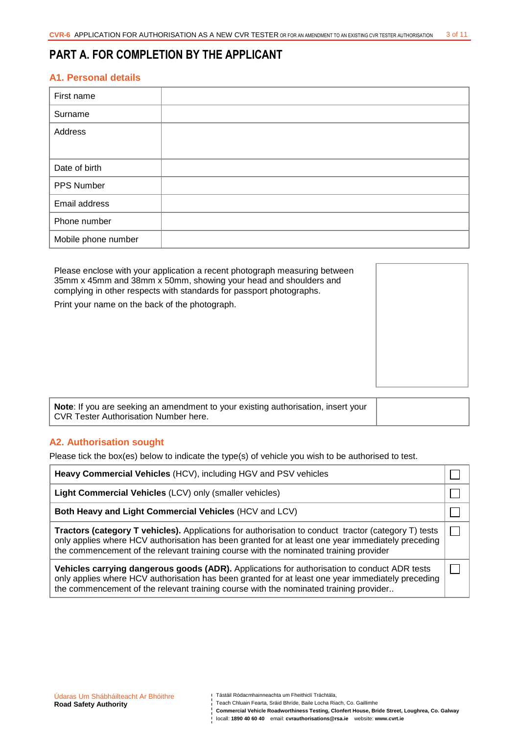## **PART A. FOR COMPLETION BY THE APPLICANT**

## **A1. Personal details**

| First name          |  |
|---------------------|--|
| Surname             |  |
| Address             |  |
|                     |  |
| Date of birth       |  |
| PPS Number          |  |
| Email address       |  |
| Phone number        |  |
| Mobile phone number |  |

Please enclose with your application a recent photograph measuring between 35mm x 45mm and 38mm x 50mm, showing your head and shoulders and complying in other respects with standards for passport photographs. Print your name on the back of the photograph.

**Note**: If you are seeking an amendment to your existing authorisation, insert your CVR Tester Authorisation Number here.

## **A2. Authorisation sought**

Please tick the box(es) below to indicate the type(s) of vehicle you wish to be authorised to test.

| Heavy Commercial Vehicles (HCV), including HGV and PSV vehicles                                                                                                                                                                                                                                           |  |
|-----------------------------------------------------------------------------------------------------------------------------------------------------------------------------------------------------------------------------------------------------------------------------------------------------------|--|
| Light Commercial Vehicles (LCV) only (smaller vehicles)                                                                                                                                                                                                                                                   |  |
| Both Heavy and Light Commercial Vehicles (HCV and LCV)                                                                                                                                                                                                                                                    |  |
| <b>Tractors (category T vehicles).</b> Applications for authorisation to conduct tractor (category T) tests<br>only applies where HCV authorisation has been granted for at least one year immediately preceding<br>the commencement of the relevant training course with the nominated training provider |  |
| Vehicles carrying dangerous goods (ADR). Applications for authorisation to conduct ADR tests<br>only applies where HCV authorisation has been granted for at least one year immediately preceding<br>the commencement of the relevant training course with the nominated training provider                |  |

**Commercial Vehicle Roadworthiness Testing, Clonfert House, Bride Street, Loughrea, Co. Galway**  locall: **1890 40 60 40** email: **cvrauthorisations@rsa.ie** website: **www.cvrt.ie**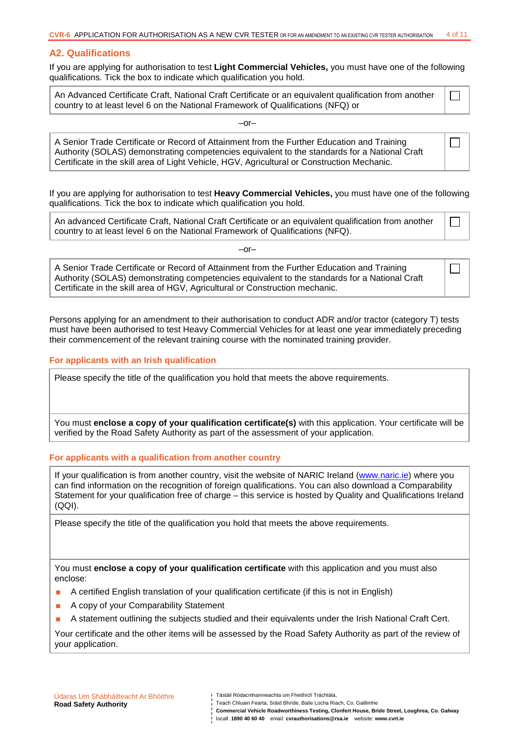#### **A2. Qualifications**

If you are applying for authorisation to test **Light Commercial Vehicles,** you must have one of the following qualifications. Tick the box to indicate which qualification you hold.

An Advanced Certificate Craft, National Craft Certificate or an equivalent qualification from another country to at least level 6 on the National Framework of Qualifications (NFQ) or

 $-$ or $-$ 

A Senior Trade Certificate or Record of Attainment from the Further Education and Training Authority (SOLAS) demonstrating competencies equivalent to the standards for a National Craft Certificate in the skill area of Light Vehicle, HGV, Agricultural or Construction Mechanic.

If you are applying for authorisation to test **Heavy Commercial Vehicles,** you must have one of the following qualifications. Tick the box to indicate which qualification you hold.

An advanced Certificate Craft, National Craft Certificate or an equivalent qualification from another country to at least level 6 on the National Framework of Qualifications (NFQ).

 $-$ or $-$ 

A Senior Trade Certificate or Record of Attainment from the Further Education and Training Authority (SOLAS) demonstrating competencies equivalent to the standards for a National Craft Certificate in the skill area of HGV, Agricultural or Construction mechanic.

Persons applying for an amendment to their authorisation to conduct ADR and/or tractor (category T) tests must have been authorised to test Heavy Commercial Vehicles for at least one year immediately preceding their commencement of the relevant training course with the nominated training provider.

#### **For applicants with an Irish qualification**

Please specify the title of the qualification you hold that meets the above requirements.

You must **enclose a copy of your qualification certificate(s)** with this application. Your certificate will be verified by the Road Safety Authority as part of the assessment of your application.

#### **For applicants with a qualification from another country**

If your qualification is from another country, visit the website of NARIC Ireland (www.naric.ie) where you can find information on the recognition of foreign qualifications. You can also download a Comparability Statement for your qualification free of charge – this service is hosted by Quality and Qualifications Ireland (QQI).

Please specify the title of the qualification you hold that meets the above requirements.

You must **enclose a copy of your qualification certificate** with this application and you must also enclose:

- A certified English translation of your qualification certificate (if this is not in English)
- A copy of your Comparability Statement
- A statement outlining the subjects studied and their equivalents under the Irish National Craft Cert.

Your certificate and the other items will be assessed by the Road Safety Authority as part of the review of your application.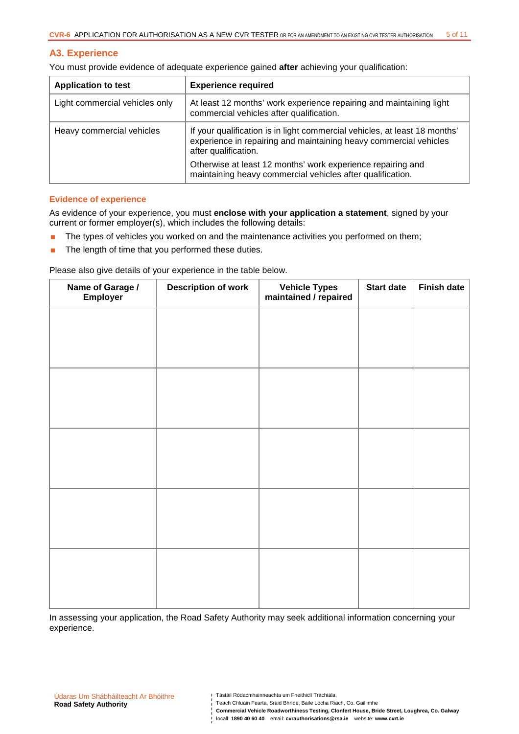#### **A3. Experience**

| You must provide evidence of adequate experience gained after achieving your qualification: |  |  |
|---------------------------------------------------------------------------------------------|--|--|
|                                                                                             |  |  |

| <b>Application to test</b>     | <b>Experience required</b>                                                                                                                                              |  |
|--------------------------------|-------------------------------------------------------------------------------------------------------------------------------------------------------------------------|--|
| Light commercial vehicles only | At least 12 months' work experience repairing and maintaining light<br>commercial vehicles after qualification.                                                         |  |
| Heavy commercial vehicles      | If your qualification is in light commercial vehicles, at least 18 months'<br>experience in repairing and maintaining heavy commercial vehicles<br>after qualification. |  |
|                                | Otherwise at least 12 months' work experience repairing and<br>maintaining heavy commercial vehicles after qualification.                                               |  |

#### **Evidence of experience**

As evidence of your experience, you must **enclose with your application a statement**, signed by your current or former employer(s), which includes the following details:

- The types of vehicles you worked on and the maintenance activities you performed on them;
- **The length of time that you performed these duties.**

Please also give details of your experience in the table below.

| Name of Garage /<br>Employer | <b>Description of work</b> | Vehicle Types<br>maintained / repaired | <b>Start date</b> | <b>Finish date</b> |
|------------------------------|----------------------------|----------------------------------------|-------------------|--------------------|
|                              |                            |                                        |                   |                    |
|                              |                            |                                        |                   |                    |
|                              |                            |                                        |                   |                    |
|                              |                            |                                        |                   |                    |
|                              |                            |                                        |                   |                    |
|                              |                            |                                        |                   |                    |
|                              |                            |                                        |                   |                    |
|                              |                            |                                        |                   |                    |
|                              |                            |                                        |                   |                    |
|                              |                            |                                        |                   |                    |

In assessing your application, the Road Safety Authority may seek additional information concerning your experience.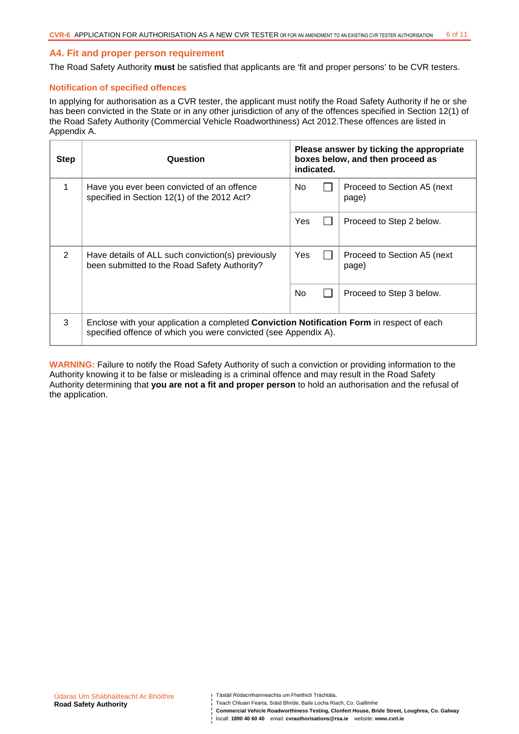#### **A4. Fit and proper person requirement**

The Road Safety Authority **must** be satisfied that applicants are 'fit and proper persons' to be CVR testers.

#### **Notification of specified offences**

In applying for authorisation as a CVR tester, the applicant must notify the Road Safety Authority if he or she has been convicted in the State or in any other jurisdiction of any of the offences specified in Section 12(1) of the Road Safety Authority (Commercial Vehicle Roadworthiness) Act 2012.These offences are listed in Appendix A.

| <b>Step</b>   | Question                                                                                                                                                     | indicated. | Please answer by ticking the appropriate<br>boxes below, and then proceed as |
|---------------|--------------------------------------------------------------------------------------------------------------------------------------------------------------|------------|------------------------------------------------------------------------------|
|               | Have you ever been convicted of an offence<br>specified in Section 12(1) of the 2012 Act?                                                                    | No.        | Proceed to Section A5 (next)<br>page)                                        |
|               |                                                                                                                                                              | Yes        | Proceed to Step 2 below.                                                     |
| 2             | Have details of ALL such conviction(s) previously<br>been submitted to the Road Safety Authority?                                                            | Yes        | Proceed to Section A5 (next)<br>page)                                        |
|               |                                                                                                                                                              | No         | Proceed to Step 3 below.                                                     |
| $\mathcal{R}$ | Enclose with your application a completed Conviction Notification Form in respect of each<br>specified offence of which you were convicted (see Appendix A). |            |                                                                              |

**WARNING:** Failure to notify the Road Safety Authority of such a conviction or providing information to the Authority knowing it to be false or misleading is a criminal offence and may result in the Road Safety Authority determining that **you are not a fit and proper person** to hold an authorisation and the refusal of the application.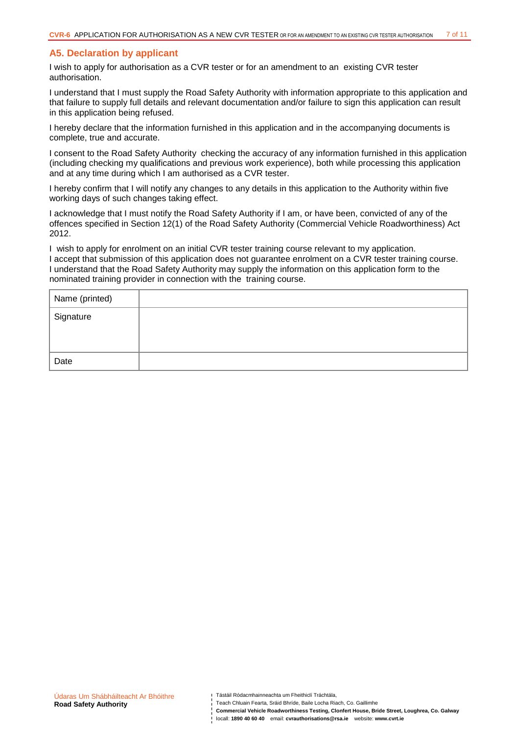#### **A5. Declaration by applicant**

I wish to apply for authorisation as a CVR tester or for an amendment to an existing CVR tester authorisation.

I understand that I must supply the Road Safety Authority with information appropriate to this application and that failure to supply full details and relevant documentation and/or failure to sign this application can result in this application being refused.

I hereby declare that the information furnished in this application and in the accompanying documents is complete, true and accurate.

I consent to the Road Safety Authority checking the accuracy of any information furnished in this application (including checking my qualifications and previous work experience), both while processing this application and at any time during which I am authorised as a CVR tester.

I hereby confirm that I will notify any changes to any details in this application to the Authority within five working days of such changes taking effect.

I acknowledge that I must notify the Road Safety Authority if I am, or have been, convicted of any of the offences specified in Section 12(1) of the Road Safety Authority (Commercial Vehicle Roadworthiness) Act 2012.

I wish to apply for enrolment on an initial CVR tester training course relevant to my application. I accept that submission of this application does not guarantee enrolment on a CVR tester training course. I understand that the Road Safety Authority may supply the information on this application form to the nominated training provider in connection with the training course.

| Name (printed) |  |
|----------------|--|
| Signature      |  |
| Date           |  |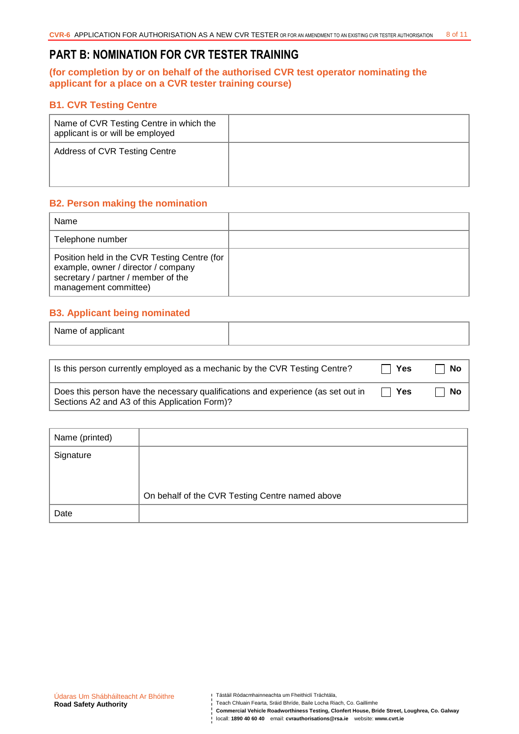## **PART B: NOMINATION FOR CVR TESTER TRAINING**

### **(for completion by or on behalf of the authorised CVR test operator nominating the applicant for a place on a CVR tester training course)**

### **B1. CVR Testing Centre**

| Name of CVR Testing Centre in which the<br>applicant is or will be employed |  |
|-----------------------------------------------------------------------------|--|
| Address of CVR Testing Centre                                               |  |

### **B2. Person making the nomination**

| Name                                                                                                                                                |  |
|-----------------------------------------------------------------------------------------------------------------------------------------------------|--|
| Telephone number                                                                                                                                    |  |
| Position held in the CVR Testing Centre (for<br>example, owner / director / company<br>secretary / partner / member of the<br>management committee) |  |

## **B3. Applicant being nominated**

| Name of applicant |  |
|-------------------|--|
|                   |  |

| Is this person currently employed as a mechanic by the CVR Testing Centre?                                                        | $\Box$ Yes | <b>No</b> |
|-----------------------------------------------------------------------------------------------------------------------------------|------------|-----------|
| Does this person have the necessary qualifications and experience (as set out in<br>Sections A2 and A3 of this Application Form)? | $\Box$ Yes | - No      |

| Name (printed) |                                                 |
|----------------|-------------------------------------------------|
| Signature      |                                                 |
|                |                                                 |
|                | On behalf of the CVR Testing Centre named above |
| Date           |                                                 |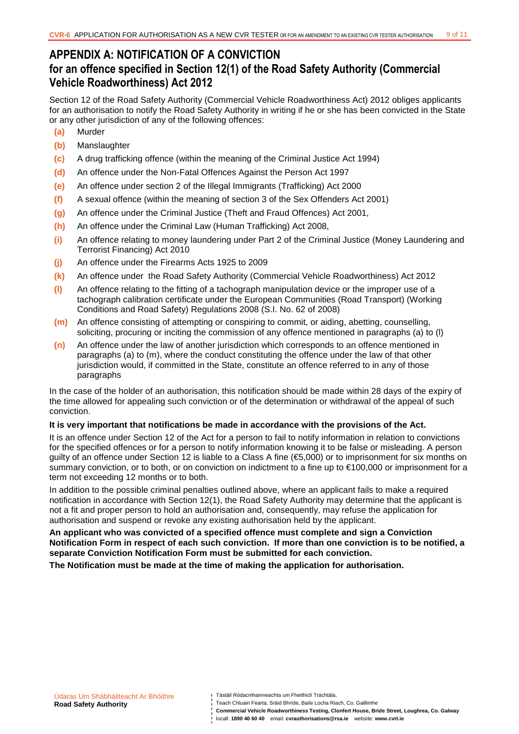## **APPENDIX A: NOTIFICATION OF A CONVICTION for an offence specified in Section 12(1) of the Road Safety Authority (Commercial Vehicle Roadworthiness) Act 2012**

Section 12 of the Road Safety Authority (Commercial Vehicle Roadworthiness Act) 2012 obliges applicants for an authorisation to notify the Road Safety Authority in writing if he or she has been convicted in the State or any other jurisdiction of any of the following offences:

- **(a)** Murder
- **(b)** Manslaughter
- **(c)** A drug trafficking offence (within the meaning of the Criminal Justice Act 1994)
- **(d)** An offence under the Non-Fatal Offences Against the Person Act 1997
- **(e)** An offence under section 2 of the Illegal Immigrants (Trafficking) Act 2000
- **(f)** A sexual offence (within the meaning of section 3 of the Sex Offenders Act 2001)
- **(g)** An offence under the Criminal Justice (Theft and Fraud Offences) Act 2001,
- **(h)** An offence under the Criminal Law (Human Trafficking) Act 2008,
- **(i)** An offence relating to money laundering under Part 2 of the Criminal Justice (Money Laundering and Terrorist Financing) Act 2010
- **(j)** An offence under the Firearms Acts 1925 to 2009
- **(k)** An offence under the Road Safety Authority (Commercial Vehicle Roadworthiness) Act 2012
- **(l)** An offence relating to the fitting of a tachograph manipulation device or the improper use of a tachograph calibration certificate under the European Communities (Road Transport) (Working Conditions and Road Safety) Regulations 2008 (S.I. No. 62 of 2008)
- **(m)** An offence consisting of attempting or conspiring to commit, or aiding, abetting, counselling, soliciting, procuring or inciting the commission of any offence mentioned in paragraphs (a) to (l)
- **(n)** An offence under the law of another jurisdiction which corresponds to an offence mentioned in paragraphs (a) to (m), where the conduct constituting the offence under the law of that other jurisdiction would, if committed in the State, constitute an offence referred to in any of those paragraphs

In the case of the holder of an authorisation, this notification should be made within 28 days of the expiry of the time allowed for appealing such conviction or of the determination or withdrawal of the appeal of such conviction.

#### **It is very important that notifications be made in accordance with the provisions of the Act.**

It is an offence under Section 12 of the Act for a person to fail to notify information in relation to convictions for the specified offences or for a person to notify information knowing it to be false or misleading. A person guilty of an offence under Section 12 is liable to a Class A fine (€5,000) or to imprisonment for six months on summary conviction, or to both, or on conviction on indictment to a fine up to €100,000 or imprisonment for a term not exceeding 12 months or to both.

In addition to the possible criminal penalties outlined above, where an applicant fails to make a required notification in accordance with Section 12(1), the Road Safety Authority may determine that the applicant is not a fit and proper person to hold an authorisation and, consequently, may refuse the application for authorisation and suspend or revoke any existing authorisation held by the applicant.

**An applicant who was convicted of a specified offence must complete and sign a Conviction Notification Form in respect of each such conviction. If more than one conviction is to be notified, a separate Conviction Notification Form must be submitted for each conviction.** 

**The Notification must be made at the time of making the application for authorisation.** 

Teach Chluain Fearta, Sráid Bhríde, Baile Locha Riach, Co. Gaillimhe **Commercial Vehicle Roadworthiness Testing, Clonfert House, Bride Street, Loughrea, Co. Galway**  locall: **1890 40 60 40** email: **cvrauthorisations@rsa.ie** website: **www.cvrt.ie**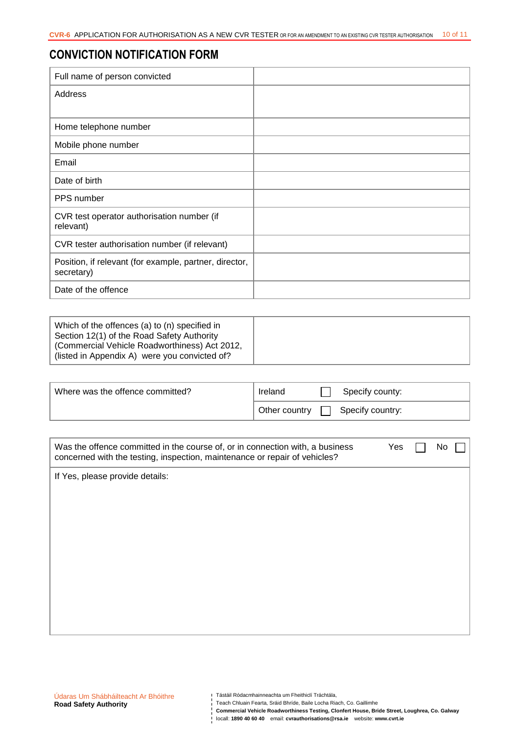## **CONVICTION NOTIFICATION FORM**

| Full name of person convicted                                        |  |
|----------------------------------------------------------------------|--|
| Address                                                              |  |
|                                                                      |  |
| Home telephone number                                                |  |
| Mobile phone number                                                  |  |
| Email                                                                |  |
| Date of birth                                                        |  |
| PPS number                                                           |  |
| CVR test operator authorisation number (if<br>relevant)              |  |
| CVR tester authorisation number (if relevant)                        |  |
| Position, if relevant (for example, partner, director,<br>secretary) |  |
| Date of the offence                                                  |  |

| Which of the offences (a) to (n) specified in<br>Section 12(1) of the Road Safety Authority<br>  (Commercial Vehicle Roadworthiness) Act 2012, |  |
|------------------------------------------------------------------------------------------------------------------------------------------------|--|
| (listed in Appendix A) were you convicted of?                                                                                                  |  |

| Where was the offence committed? | Ireland       | Specify county:  |
|----------------------------------|---------------|------------------|
|                                  | Other country | Specify country: |

| Was the offence committed in the course of, or in connection with, a business<br>concerned with the testing, inspection, maintenance or repair of vehicles? | Yes | NΟ |  |
|-------------------------------------------------------------------------------------------------------------------------------------------------------------|-----|----|--|
| If Yes, please provide details:                                                                                                                             |     |    |  |
|                                                                                                                                                             |     |    |  |
|                                                                                                                                                             |     |    |  |
|                                                                                                                                                             |     |    |  |
|                                                                                                                                                             |     |    |  |
|                                                                                                                                                             |     |    |  |
|                                                                                                                                                             |     |    |  |
|                                                                                                                                                             |     |    |  |

**Commercial Vehicle Roadworthiness Testing, Clonfert House, Bride Street, Loughrea, Co. Galway**  locall: **1890 40 60 40** email: cvrauthorisations@rsa.ie website: www.cvrt.ie<br>| locall: **1890 40 60 40** email: cvrauthorisations@rsa.ie website: www.cvrt.ie